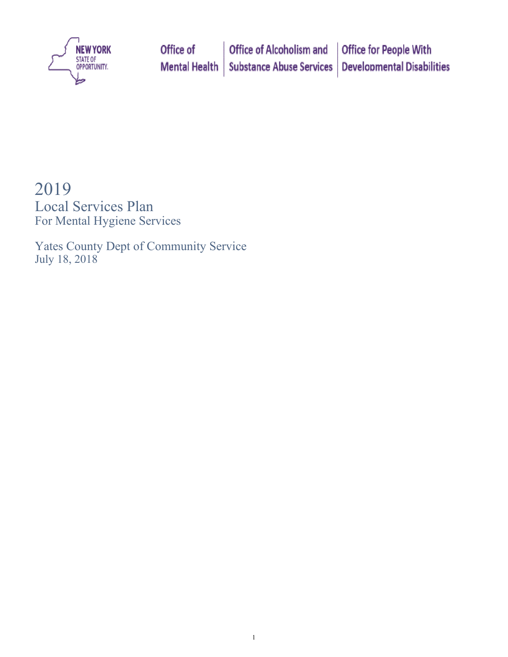

# 2019

Local Services Plan For Mental Hygiene Services

Yates County Dept of Community Service July 18, 2018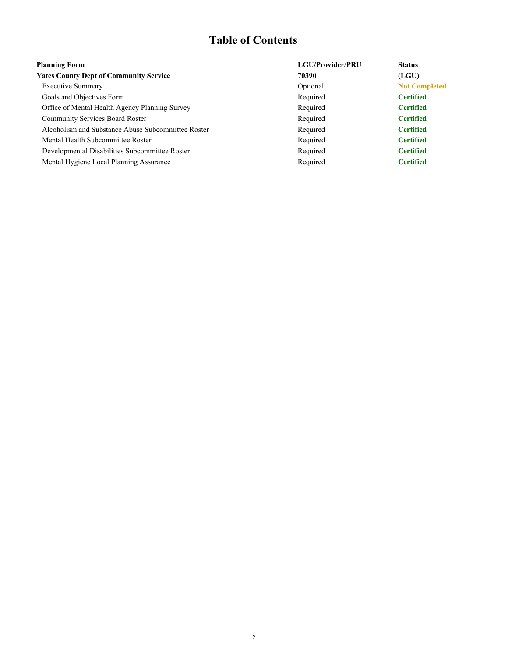## **Table of Contents**

| <b>Planning Form</b>                               | <b>LGU/Provider/PRU</b> | <b>Status</b>        |
|----------------------------------------------------|-------------------------|----------------------|
| <b>Yates County Dept of Community Service</b>      | 70390                   | (LGU)                |
| <b>Executive Summary</b>                           | Optional                | <b>Not Completed</b> |
| Goals and Objectives Form                          | Required                | <b>Certified</b>     |
| Office of Mental Health Agency Planning Survey     | Required                | <b>Certified</b>     |
| <b>Community Services Board Roster</b>             | Required                | <b>Certified</b>     |
| Alcoholism and Substance Abuse Subcommittee Roster | Required                | <b>Certified</b>     |
| Mental Health Subcommittee Roster                  | Required                | <b>Certified</b>     |
| Developmental Disabilities Subcommittee Roster     | Required                | <b>Certified</b>     |
| Mental Hygiene Local Planning Assurance            | Required                | <b>Certified</b>     |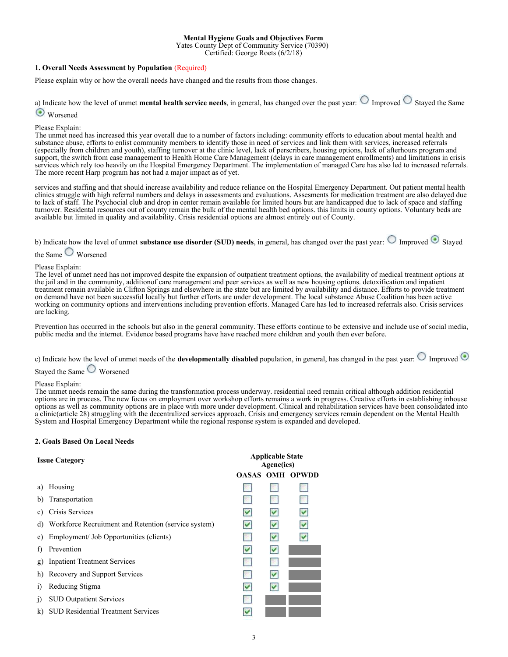#### **Mental Hygiene Goals and Objectives Form**

Yates County Dept of Community Service (70390)

Certified: George Roets (6/2/18)

#### **1. Overall Needs Assessment by Population** (Required)

Please explain why or how the overall needs have changed and the results from those changes.

a) Indicate how the level of unmet **mental health service needs**, in general, has changed over the past year:  $\bigcirc$  Improved  $\bigcirc$  Stayed the Same

**Worsened** 

#### Please Explain:

The unmet need has increased this year overall due to a number of factors including: community efforts to education about mental health and substance abuse, efforts to enlist community members to identify those in need of services and link them with services, increased referrals (especially from children and youth), staffing turnover at the clinic level, lack of perscribers, housing options, lack of afterhours program and support, the switch from case management to Health Home Care Management (delays in care management enrollments) and limitations in crisis services which rely too heavily on the Hospital Emergency Department. The implementation of managed Care has also led to increased referrals. The more recent Harp program has not had a major impact as of yet.

services and staffing and that should increase availability and reduce reliance on the Hospital Emergency Department. Out patient mental health clinics struggle with high referral numbers and delays in assessments and evaluations. Assesments for medication treatment are also delayed due to lack of staff. The Psychocial club and drop in center remain available for limited hours but are handicapped due to lack of space and staffing turnover. Residental resources out of county remain the bulk of the mental health bed options. this limits in county options. Voluntary beds are available but limited in quality and availability. Crisis residential options are almost entirely out of County.

b) Indicate how the level of unmet **substance use disorder (SUD) needs**, in general, has changed over the past year:  $\bigcirc$  Improved  $\bigcirc$  Staved

the Same  $\bigcirc$  Worsened

#### Please Explain:

The level of unmet need has not improved despite the expansion of outpatient treatment options, the availability of medical treatment options at the jail and in the community, additionof care management and peer services as well as new housing options. detoxification and inpatient treatment remain available in Clifton Springs and elsewhere in the state but are limited by availability and distance. Efforts to provide treatment on demand have not been successful locally but further efforts are under development. The local substance Abuse Coalition has been active working on community options and interventions including prevention efforts. Managed Care has led to increased referrals also. Crisis services are lacking.

Prevention has occurred in the schools but also in the general community. These efforts continue to be extensive and include use of social media, public media and the internet. Evidence based programs have have reached more children and youth then ever before.

|  |                             |  | c) Indicate how the level of unmet needs of the <b>developmentally disabled</b> population, in general, has changed in the past year: $\bigcirc$ Improved $\bigcirc$ |  |  |  |
|--|-----------------------------|--|----------------------------------------------------------------------------------------------------------------------------------------------------------------------|--|--|--|
|  | $\sim$ $\sim$ $\sim$ $\sim$ |  |                                                                                                                                                                      |  |  |  |

#### Stayed the Same Worsened

#### Please Explain:

The unmet needs remain the same during the transformation process underway. residential need remain critical although addition residential options are in process. The new focus on employment over workshop efforts remains a work in progress. Creative efforts in establishing inhouse options as well as community options are in place with more under development. Clinical and rehabilitation services have been consolidated into a clinic(article 28) struggling with the decentralized services approach. Crisis and emergency services remain dependent on the Mental Health System and Hospital Emergency Department while the regional response system is expanded and developed.

#### **2. Goals Based On Local Needs**

- a) Housing
- b) Transportation
- c) Crisis Services
- d) Workforce Recruitment and Retention (service system)
- e) Employment/ Job Opportunities (clients)
- f) Prevention
- g) Inpatient Treatment Services
- h) Recovery and Support Services
- i) Reducing Stigma
- j) SUD Outpatient Services
- k) SUD Residential Treatment Services

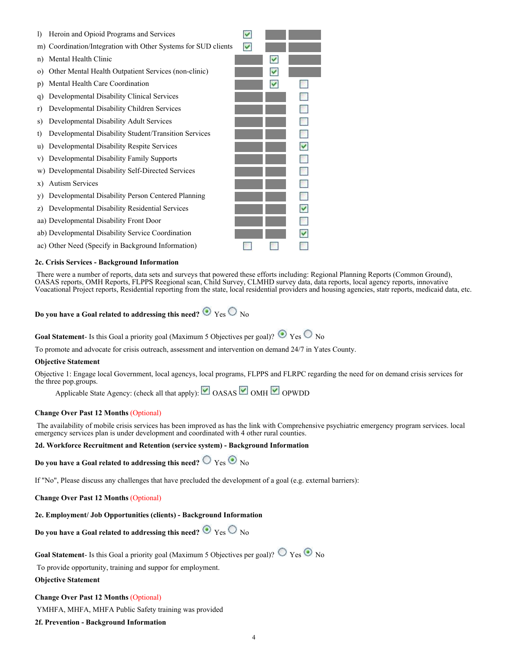

#### **2c. Crisis Services - Background Information**

 There were a number of reports, data sets and surveys that powered these efforts including: Regional Planning Reports (Common Ground), OASAS reports, OMH Reports, FLPPS Reegional scan, Child Survey, CLMHD survey data, data reports, local agency reports, innovative Voacational Project reports, Residential reporting from the state, local residential providers and housing agencies, statr reports, medicaid data, etc.

**Do you have a Goal related to addressing this need?**  $\odot$  Yes  $\odot$  No

**Goal Statement**- Is this Goal a priority goal (Maximum 5 Objectives per goal)?  $\odot$   $y_{es}$   $\odot$   $y_{0}$ 

To promote and advocate for crisis outreach, assessment and intervention on demand 24/7 in Yates County.

#### **Objective Statement**

Objective 1: Engage local Government, local agencys, local programs, FLPPS and FLRPC regarding the need for on demand crisis services for the three pop.groups.

Applicable State Agency: (check all that apply):  $\Box$  OASAS  $\Box$  OMH  $\Box$  OPWDD

#### **Change Over Past 12 Months** (Optional)

 The availability of mobile crisis services has been improved as has the link with Comprehensive psychiatric emergency program services. local emergency services plan is under development and coordinated with 4 other rural counties.

#### **2d. Workforce Recruitment and Retention (service system) - Background Information**

**Do you have a Goal related to addressing this need?**  $\bigcirc$   $\gamma$ es  $\bigcirc$   $\bigcirc$   $\gamma$ 

If "No", Please discuss any challenges that have precluded the development of a goal (e.g. external barriers):

**Change Over Past 12 Months** (Optional)

#### **2e. Employment/ Job Opportunities (clients) - Background Information**

**Do you have a Goal related to addressing this need?**  $\odot$  Yes  $\odot$  No

**Goal Statement**- Is this Goal a priority goal (Maximum 5 Objectives per goal)?  $\bigcirc$   $Y$ es  $\bigcirc$  No

To provide opportunity, training and suppor for employment.

**Objective Statement**

#### **Change Over Past 12 Months** (Optional)

YMHFA, MHFA, MHFA Public Safety training was provided

#### **2f. Prevention - Background Information**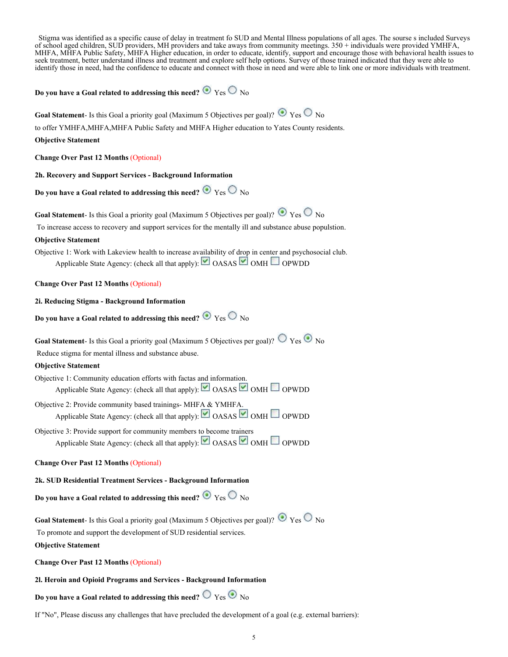Stigma was identified as a specific cause of delay in treatment fo SUD and Mental Illness populations of all ages. The sourse s included Surveys of school aged children, SUD providers, MH providers and take aways from community meetings. 350 + individuals were provided YMHFA, MHFA, MHFA Public Safety, MHFA Higher education, in order to educate, identify, support and encourage those with behavioral health issues to seek treatment, better understand illness and treatment and explore self help options. Survey of those trained indicated that they were able to identify those in need, had the confidence to educate and connect with those in need and were able to link one or more individuals with treatment.

#### **Do you have a Goal related to addressing this need?**  $\bullet$  Yes  $\circ$  No

**Goal Statement**- Is this Goal a priority goal (Maximum 5 Objectives per goal)?  $\bullet$  Yes  $\circ$  No

to offer YMHFA,MHFA,MHFA Public Safety and MHFA Higher education to Yates County residents.

#### **Objective Statement**

**Change Over Past 12 Months** (Optional)

**2h. Recovery and Support Services - Background Information**

**Do you have a Goal related to addressing this need?**  $\bullet$  Yes  $\circ$  No

**Goal Statement**- Is this Goal a priority goal (Maximum 5 Objectives per goal)?  $\bullet$  Yes  $\circ$  No

To increase access to recovery and support services for the mentally ill and substance abuse populstion.

#### **Objective Statement**

Objective 1: Work with Lakeview health to increase availability of drop in center and psychosocial club. Applicable State Agency: (check all that apply):  $\Box$  OASAS  $\Box$  OMH  $\Box$  OPWDD

#### **Change Over Past 12 Months** (Optional)

#### **2i. Reducing Stigma - Background Information**

```
Do you have a Goal related to addressing this need? \bullet Yes \circ No
```
**Goal Statement**- Is this Goal a priority goal (Maximum 5 Objectives per goal)?  $\bigcirc$   $Y$ es  $\bigcirc$  No

Reduce stigma for mental illness and substance abuse.

#### **Objective Statement**

Objective 1: Community education efforts with factas and information. Applicable State Agency: (check all that apply): OASAS OMH OPWDD

Objective 2: Provide community based trainings- MHFA & YMHFA. Applicable State Agency: (check all that apply): OASAS OMH OPWDD

Objective 3: Provide support for community members to become trainers Applicable State Agency: (check all that apply):  $\Box$  OASAS  $\Box$  OMH  $\Box$  OPWDD

#### **Change Over Past 12 Months** (Optional)

#### **2k. SUD Residential Treatment Services - Background Information**

**Do you have a Goal related to addressing this need?**  $\odot$  Yes  $\odot$  No

**Goal Statement**- Is this Goal a priority goal (Maximum 5 Objectives per goal)?  $\bullet$  Yes  $\circ$  No To promote and support the development of SUD residential services. **Objective Statement**

**Change Over Past 12 Months** (Optional)

#### **2l. Heroin and Opioid Programs and Services - Background Information**

Do you have a Goal related to addressing this need?  $\bigcirc$   $_{\rm Yes}$   $\bigcirc$   $_{\rm No}$ 

If "No", Please discuss any challenges that have precluded the development of a goal (e.g. external barriers):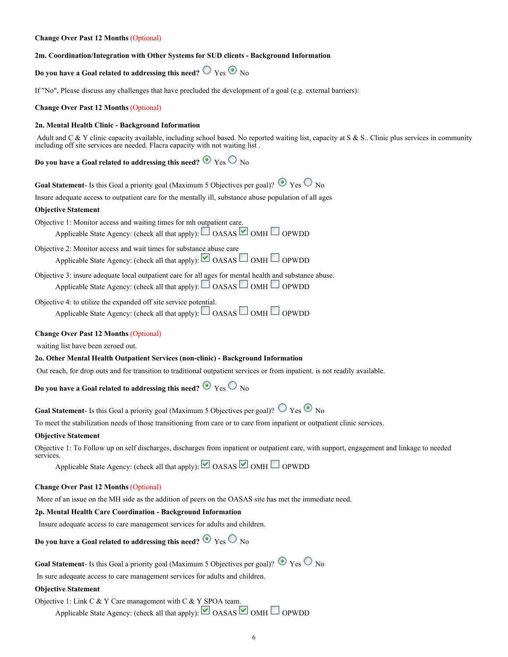#### **Change Over Past 12 Months** (Optional)

#### **2m. Coordination/Integration with Other Systems for SUD clients - Background Information**

### **Do you have a Goal related to addressing this need?**  $\bigcirc$   $\bigcirc$   $\bigcirc$   $\bigcirc$   $\bigcirc$   $\bigcirc$

If "No", Please discuss any challenges that have precluded the development of a goal (e.g. external barriers):

#### **Change Over Past 12 Months** (Optional)

#### **2n. Mental Health Clinic - Background Information**

Adult and C & Y clinic capacity available, including school based. No reported waiting list, capacity at S & S.. Clinic plus services in community including off site services are needed. Flacra capacity with not waiting list .

**Do you have a Goal related to addressing this need?**  $\bullet$  Yes  $\circ$  No

**Goal Statement**- Is this Goal a priority goal (Maximum 5 Objectives per goal)?  $\bullet$  Yes  $\circ$  No

Insure adequate access to outpatient care for the mentally ill, substance abuse population of all ages

#### **Objective Statement**

Objective 1: Monitor access and waiting times for mh outpatient care. Applicable State Agency: (check all that apply):  $\Box$  OASAS  $\Box$  OMH  $\Box$  OPWDD

Objective 2: Monitor access and wait times for substance abuse care Applicable State Agency: (check all that apply): OASAS OMH OPWDD

Objective 3: insure adequate local outpatient care for all ages for mental health and substance abuse. Applicable State Agency: (check all that apply):  $\Box$  OASAS  $\Box$  OMH  $\Box$  OPWDD

Objective 4: to utilize the expanded off site service potential.

Applicable State Agency: (check all that apply):  $\Box$  OASAS  $\Box$  OMH  $\Box$  OPWDD

#### **Change Over Past 12 Months** (Optional)

waiting list have been zeroed out.

#### **2o. Other Mental Health Outpatient Services (non-clinic) - Background Information**

Out reach, for drop outs and for transition to traditional outpatient services or from inpatient. is not readily available.

**Do you have a Goal related to addressing this need?**  $\odot$  Yes  $\odot$  No

**Goal Statement**- Is this Goal a priority goal (Maximum 5 Objectives per goal)?  $\circledcirc$  Yes  $\circledcirc$  No

To meet the stabilization needs of those transitioning from care or to care from inpatient or outpatient clinic services.

#### **Objective Statement**

Objective 1: To Follow up on self discharges, discharges from inpatient or outpatient care, with support, engagement and linkage to needed services

Applicable State Agency: (check all that apply):  $\Box$  OASAS  $\Box$  OMH  $\Box$  OPWDD

#### **Change Over Past 12 Months** (Optional)

More of an issue on the MH side as the addition of peers on the OASAS site has met the immediate need.

#### **2p. Mental Health Care Coordination - Background Information**

Insure adequate access to care management services for adults and children.

**Do you have a Goal related to addressing this need?**  $\bullet$  Yes  $\circ$  No

**Goal Statement**- Is this Goal a priority goal (Maximum 5 Objectives per goal)?  $\bullet$  Yes  $\circ$  No

In sure adequate access to care management services for adults and children.

#### **Objective Statement**

Objective 1: Link C  $& Y$  Care management with C  $& Y$  SPOA team.

Applicable State Agency: (check all that apply): OASAS OMH OPWDD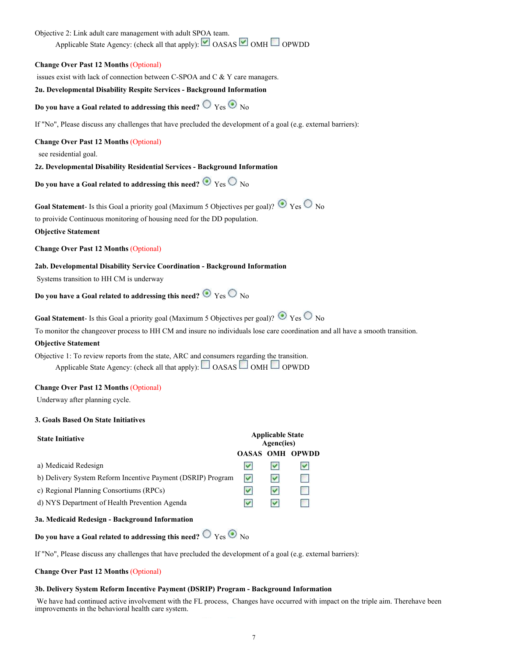#### Objective 2: Link adult care management with adult SPOA team.

Applicable State Agency: (check all that apply):  $\Box$  OASAS  $\Box$  OMH  $\Box$  OPWDD

#### **Change Over Past 12 Months** (Optional)

issues exist with lack of connection between C-SPOA and C & Y care managers.

#### **2u. Developmental Disability Respite Services - Background Information**

**Do you have a Goal related to addressing this need?**  $\bigcirc$   $\gamma$ es  $\bigcirc$  No

If "No", Please discuss any challenges that have precluded the development of a goal (e.g. external barriers):

#### **Change Over Past 12 Months** (Optional)

see residential goal.

#### **2z. Developmental Disability Residential Services - Background Information**

**Do you have a Goal related to addressing this need?**  $\bullet$  Yes  $\circ$  No

**Goal Statement**- Is this Goal a priority goal (Maximum 5 Objectives per goal)?  $\odot$   $\chi$ es  $\odot$  No

to proivide Continuous monitoring of housing need for the DD population.

#### **Objective Statement**

**Change Over Past 12 Months** (Optional)

#### **2ab. Developmental Disability Service Coordination - Background Information**

Systems transition to HH CM is underway

**Do you have a Goal related to addressing this need?**  $\odot$  Yes  $\odot$  No

**Goal Statement**- Is this Goal a priority goal (Maximum 5 Objectives per goal)?  $\bullet$  Yes  $\circ$  No

To monitor the changeover process to HH CM and insure no individuals lose care coordination and all have a smooth transition.

#### **Objective Statement**

Objective 1: To review reports from the state, ARC and consumers regarding the transition. Applicable State Agency: (check all that apply):  $\Box$  OASAS  $\Box$  OMH  $\Box$  OPWDD

#### **Change Over Past 12 Months** (Optional)

Underway after planning cycle.

#### **3. Goals Based On State Initiatives**

| <b>State Initiative</b>                                     | <b>Applicable State</b><br>Agenc(ies) |   |              |
|-------------------------------------------------------------|---------------------------------------|---|--------------|
|                                                             | OASAS OMH                             |   | <b>OPWDD</b> |
| a) Medicaid Redesign                                        |                                       |   |              |
| b) Delivery System Reform Incentive Payment (DSRIP) Program | ∣✓∣                                   | v | p.           |
| c) Regional Planning Consortiums (RPCs)                     |                                       | M | e.           |
| d) NYS Department of Health Prevention Agenda               |                                       | M |              |
| 3a. Medicaid Redesign - Background Information              |                                       |   |              |
|                                                             |                                       |   |              |

**Do you have a Goal related to addressing this need?**  $\bigcirc$  Yes  $\bigcirc$  No

If "No", Please discuss any challenges that have precluded the development of a goal (e.g. external barriers):

#### **Change Over Past 12 Months** (Optional)

#### **3b. Delivery System Reform Incentive Payment (DSRIP) Program - Background Information**

 We have had continued active involvement with the FL process, Changes have occurred with impact on the triple aim. Therehave been improvements in the behavioral health care system.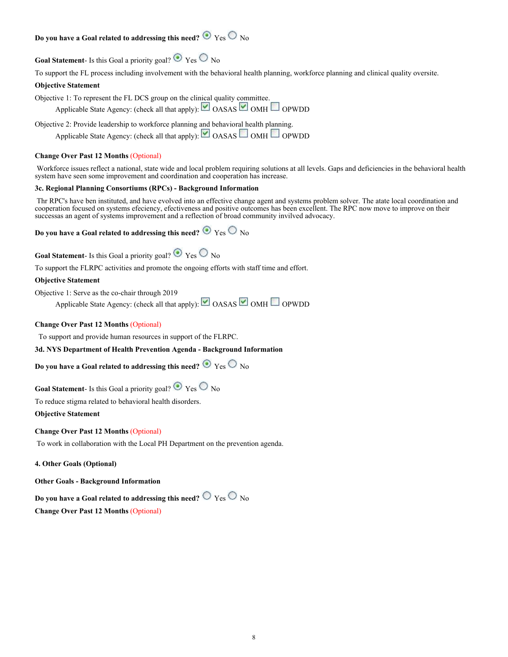### **Do you have a Goal related to addressing this need?**  $\bullet$  Yes  $\circ$  No

**Goal Statement-** Is this Goal a priority goal?  $\odot$  Yes  $\odot$  No

To support the FL process including involvement with the behavioral health planning, workforce planning and clinical quality oversite.

#### **Objective Statement**

Objective 1: To represent the FL DCS group on the clinical quality committee.

Applicable State Agency: (check all that apply):  $\Box$  OASAS  $\Box$  OMH  $\Box$  OPWDD

Objective 2: Provide leadership to workforce planning and behavioral health planning.

Applicable State Agency: (check all that apply): OASAS OMH OPWDD

#### **Change Over Past 12 Months** (Optional)

 Workforce issues reflect a national, state wide and local problem requiring solutions at all levels. Gaps and deficiencies in the behavioral health system have seen some improvement and coordination and cooperation has increase.

#### **3c. Regional Planning Consortiums (RPCs) - Background Information**

 Thr RPC's have ben instituted, and have evolved into an effective change agent and systems problem solver. The atate local coordination and cooperation focused on systems efeciency, efectiveness and positive outcomes has been excellent. The RPC now move to improve on their successas an agent of systems improvement and a reflection of broad community invilved advocacy.

**Do you have a Goal related to addressing this need?**  $\bullet$  Yes  $\circ$  No

**Goal Statement**- Is this Goal a priority goal?  $\odot$  Yes  $\odot$  No

To support the FLRPC activities and promote the ongoing efforts with staff time and effort.

#### **Objective Statement**

Objective 1: Serve as the co-chair through 2019

Applicable State Agency: (check all that apply): OASAS OMH OPWDD

#### **Change Over Past 12 Months** (Optional)

To support and provide human resources in support of the FLRPC.

**3d. NYS Department of Health Prevention Agenda - Background Information**

**Do you have a Goal related to addressing this need?**  $\bullet$  Yes  $\circ$  No

**Goal Statement-** Is this Goal a priority goal?  $\odot$   $_{\text{Yes}}$   $\odot$   $_{\text{No}}$ 

To reduce stigma related to behavioral health disorders.

**Objective Statement**

#### **Change Over Past 12 Months** (Optional)

To work in collaboration with the Local PH Department on the prevention agenda.

**4. Other Goals (Optional)**

**Other Goals - Background Information**

Do you have a Goal related to addressing this need?  $\bigcirc$   $_{\rm Yes}$   $\bigcirc$   $_{\rm No}$ 

**Change Over Past 12 Months** (Optional)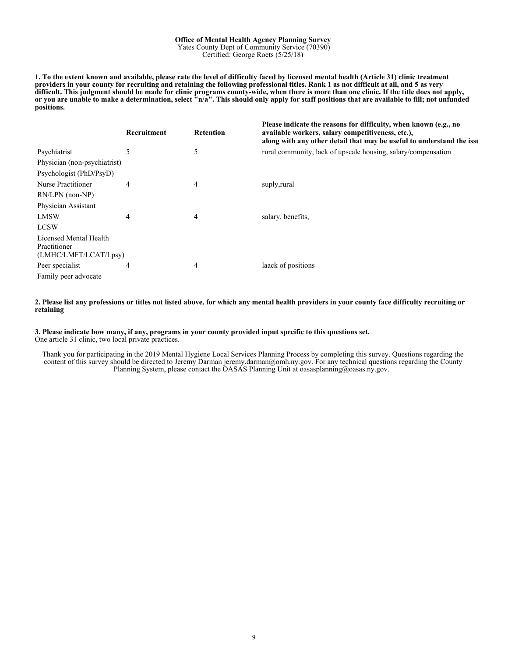#### **Office of Mental Health Agency Planning Survey** Yates County Dept of Community Service (70390)

Certified: George Roets (5/25/18)

**1. To the extent known and available, please rate the level of difficulty faced by licensed mental health (Article 31) clinic treatment providers in your county for recruiting and retaining the following professional titles. Rank 1 as not difficult at all, and 5 as very difficult. This judgment should be made for clinic programs county-wide, when there is more than one clinic. If the title does not apply, or you are unable to make a determination, select "n/a". This should only apply for staff positions that are available to fill; not unfunded positions.**

|                                                                 | Recruitment | <b>Retention</b> | Please indicate the reasons for difficulty, when known (e.g., no<br>available workers, salary competitiveness, etc.),<br>along with any other detail that may be useful to understand the issu |
|-----------------------------------------------------------------|-------------|------------------|------------------------------------------------------------------------------------------------------------------------------------------------------------------------------------------------|
| Psychiatrist                                                    | 5           | 5                | rural community, lack of upscale housing, salary/compensation                                                                                                                                  |
| Physician (non-psychiatrist)                                    |             |                  |                                                                                                                                                                                                |
| Psychologist (PhD/PsyD)                                         |             |                  |                                                                                                                                                                                                |
| Nurse Practitioner                                              | 4           | 4                | suply, rural                                                                                                                                                                                   |
| $RN/LPN$ (non- $NP$ )                                           |             |                  |                                                                                                                                                                                                |
| Physician Assistant                                             |             |                  |                                                                                                                                                                                                |
| <b>LMSW</b>                                                     | 4           | 4                | salary, benefits,                                                                                                                                                                              |
| <b>LCSW</b>                                                     |             |                  |                                                                                                                                                                                                |
| Licensed Mental Health<br>Practitioner<br>(LMHC/LMFT/LCAT/Lpsy) |             |                  |                                                                                                                                                                                                |
| Peer specialist                                                 | 4           | 4                | laack of positions                                                                                                                                                                             |
| Family peer advocate                                            |             |                  |                                                                                                                                                                                                |

#### **2. Please list any professions or titles not listed above, for which any mental health providers in your county face difficulty recruiting or retaining**

#### **3. Please indicate how many, if any, programs in your county provided input specific to this questions set.** One article 31 clinic, two local private practices.

Thank you for participating in the 2019 Mental Hygiene Local Services Planning Process by completing this survey. Questions regarding the content of this survey should be directed to Jeremy Darman jeremy.darman@omh.ny.gov. For any technical questions regarding the County Planning System, please contact the OASAS Planning Unit at oasasplanning@oasas.ny.gov.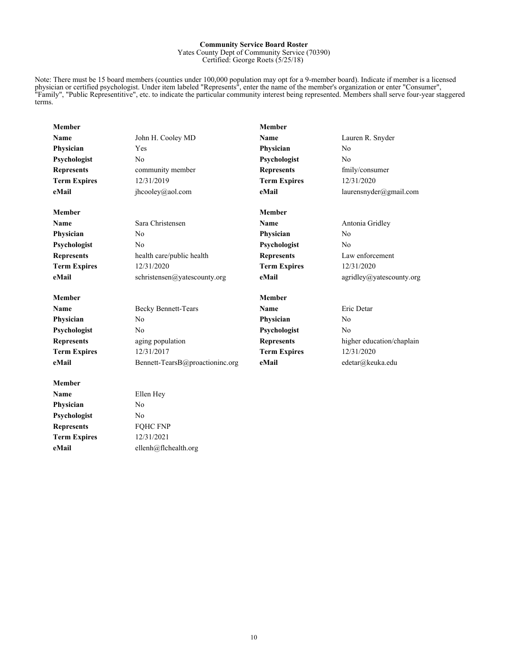#### **Community Service Board Roster** Yates County Dept of Community Service (70390) Certified: George Roets (5/25/18)

Note: There must be 15 board members (counties under 100,000 population may opt for a 9-member board). Indicate if member is a licensed physician or certified psychologist. Under item labeled "Represents", enter the name of the member's organization or enter "Consumer", "Family", "Public Representitive", etc. to indicate the particular community interest being represented. Members shall serve four-year staggered terms.

| <b>Member</b>       |                                 | <b>Member</b>       |                           |
|---------------------|---------------------------------|---------------------|---------------------------|
| Name                | John H. Cooley MD               | Name                | Lauren R. Snyder          |
| Physician           | Yes                             | Physician           | No                        |
| Psychologist        | No                              | Psychologist        | No                        |
| <b>Represents</b>   | community member                | <b>Represents</b>   | fmily/consumer            |
| <b>Term Expires</b> | 12/31/2019                      | <b>Term Expires</b> | 12/31/2020                |
| eMail               | jhcooley@aol.com                | eMail               | laurensnyder@gmail.com    |
| <b>Member</b>       |                                 | <b>Member</b>       |                           |
| Name                | Sara Christensen                | <b>Name</b>         | Antonia Gridley           |
| Physician           | No                              | Physician           | No                        |
| Psychologist        | No                              | Psychologist        | No                        |
| <b>Represents</b>   | health care/public health       | <b>Represents</b>   | Law enforcement           |
| <b>Term Expires</b> | 12/31/2020                      | <b>Term Expires</b> | 12/31/2020                |
| eMail               | schristensen@yatescounty.org    | eMail               | agridley@yatescounty.org  |
| <b>Member</b>       |                                 | <b>Member</b>       |                           |
| Name                | <b>Becky Bennett-Tears</b>      | Name                | Eric Detar                |
| Physician           | N <sub>0</sub>                  | Physician           | No                        |
| Psychologist        | No                              | Psychologist        | No                        |
| <b>Represents</b>   | aging population                | <b>Represents</b>   | higher education/chaplain |
| <b>Term Expires</b> | 12/31/2017                      | <b>Term Expires</b> | 12/31/2020                |
| eMail               | Bennett-TearsB@proactioninc.org | eMail               | edetar@keuka.edu          |
| <b>Member</b>       |                                 |                     |                           |
| Name                | Ellen Hey                       |                     |                           |
| Physician           | No                              |                     |                           |
| Psychologist        | No                              |                     |                           |
| <b>Represents</b>   | FQHC FNP                        |                     |                           |
| <b>Term Expires</b> | 12/31/2021                      |                     |                           |

**eMail** ellenh@flchealth.org

10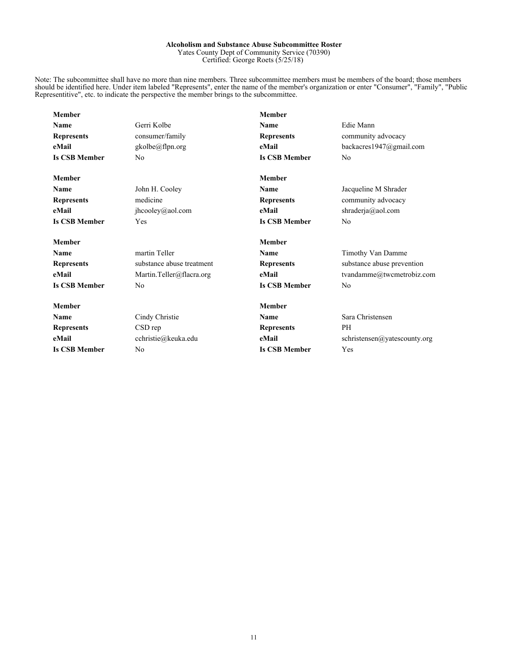#### **Alcoholism and Substance Abuse Subcommittee Roster** Yates County Dept of Community Service (70390) Certified: George Roets (5/25/18)

Note: The subcommittee shall have no more than nine members. Three subcommittee members must be members of the board; those members should be identified here. Under item labeled "Represents", enter the name of the member's organization or enter "Consumer", "Family", "Public Representitive", etc. to indicate the perspective the member brings to the subcommittee.

| <b>Member</b>        |                           | <b>Member</b>        |                              |
|----------------------|---------------------------|----------------------|------------------------------|
| Name                 | Gerri Kolbe               | Name                 | Edie Mann                    |
| <b>Represents</b>    | consumer/family           | <b>Represents</b>    | community advocacy           |
| eMail                | gkolbe@flpn.org           | eMail                | backacres1947@gmail.com      |
| <b>Is CSB Member</b> | N <sub>0</sub>            | <b>Is CSB Member</b> | No                           |
| <b>Member</b>        |                           | <b>Member</b>        |                              |
| Name                 | John H. Cooley            | <b>Name</b>          | Jacqueline M Shrader         |
| <b>Represents</b>    | medicine                  | <b>Represents</b>    | community advocacy           |
| eMail                | jhcooley@aol.com          | eMail                | shraderja@aol.com            |
| <b>Is CSB Member</b> | Yes                       | <b>Is CSB Member</b> | N <sub>0</sub>               |
| <b>Member</b>        |                           | <b>Member</b>        |                              |
| Name                 | martin Teller             | <b>Name</b>          | Timothy Van Damme            |
| <b>Represents</b>    | substance abuse treatment | <b>Represents</b>    | substance abuse prevention   |
| eMail                | Martin.Teller@flacra.org  | eMail                | tvandamme@twcmetrobiz.com    |
| <b>Is CSB Member</b> | N <sub>0</sub>            | <b>Is CSB Member</b> | N <sub>0</sub>               |
| <b>Member</b>        |                           | <b>Member</b>        |                              |
| Name                 | Cindy Christie            | Name                 | Sara Christensen             |
| <b>Represents</b>    | CSD rep                   | <b>Represents</b>    | PH                           |
| eMail                | cchristie@keuka.edu       | eMail                | schristensen@yatescounty.org |
| <b>Is CSB Member</b> | N <sub>0</sub>            | <b>Is CSB Member</b> | Yes                          |
|                      |                           |                      |                              |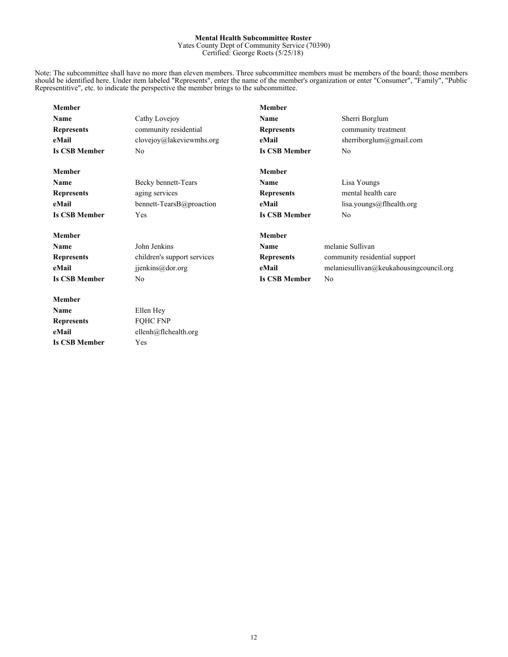#### **Mental Health Subcommittee Roster**

Yates County Dept of Community Service (70390) Certified: George Roets (5/25/18)

Note: The subcommittee shall have no more than eleven members. Three subcommittee members must be members of the board; those members should be identified here. Under item labeled "Represents", enter the name of the member's organization or enter "Consumer", "Family", "Public Representitive", etc. to indicate the perspective the member brings to the subcommittee.

| <b>Member</b>        |                             | <b>Member</b>                          |                                         |
|----------------------|-----------------------------|----------------------------------------|-----------------------------------------|
| Name                 | Cathy Lovejoy               | Name                                   | Sherri Borglum                          |
| <b>Represents</b>    | community residential       | <b>Represents</b>                      | community treatment                     |
| eMail                | $clovejoy@$ lakeviewmhs.org | eMail                                  | sherriborglum@gmail.com                 |
| <b>Is CSB Member</b> | N <sub>0</sub>              | <b>Is CSB Member</b>                   | N <sub>0</sub>                          |
| <b>Member</b>        |                             | <b>Member</b>                          |                                         |
| Name                 | Becky bennett-Tears         | <b>Name</b>                            | Lisa Youngs                             |
| <b>Represents</b>    | aging services              | <b>Represents</b>                      | mental health care                      |
| eMail                | bennett-TearsB@proaction    | eMail                                  | lisa.youngs@flhealth.org                |
| <b>Is CSB Member</b> | Yes                         | <b>Is CSB Member</b>                   | N <sub>0</sub>                          |
| <b>Member</b>        |                             | <b>Member</b>                          |                                         |
| Name                 | John Jenkins                | Name                                   | melanie Sullivan                        |
| <b>Represents</b>    | children's support services | <b>Represents</b>                      | community residential support           |
| eMail                | jjenkins@dor.org            | eMail                                  | melaniesullivan@keukahousingcouncil.org |
| <b>Is CSB Member</b> | N <sub>0</sub>              | <b>Is CSB Member</b><br>N <sub>0</sub> |                                         |
| <b>Member</b>        |                             |                                        |                                         |
| Name                 | Ellen Hey                   |                                        |                                         |
| <b>Represents</b>    | <b>FQHC FNP</b>             |                                        |                                         |
| eMail                | ellenh@flchealth.org        |                                        |                                         |
| <b>Is CSB Member</b> | Yes                         |                                        |                                         |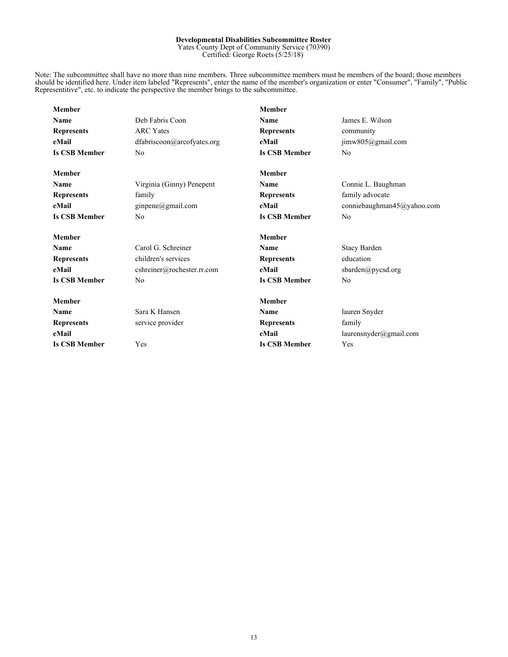#### **Developmental Disabilities Subcommittee Roster**

Yates County Dept of Community Service (70390) Certified: George Roets (5/25/18)

Note: The subcommittee shall have no more than nine members. Three subcommittee members must be members of the board; those members should be identified here. Under item labeled "Represents", enter the name of the member's organization or enter "Consumer", "Family", "Public Representitive", etc. to indicate the perspective the member brings to the subcommittee.

| <b>Member</b>        |                            | <b>Member</b>        |                            |
|----------------------|----------------------------|----------------------|----------------------------|
| Name                 | Deb Fabris Coon            | Name                 | James E. Wilson            |
| <b>Represents</b>    | <b>ARC</b> Yates           | <b>Represents</b>    | community                  |
| eMail                | dfabriscoon@arcofyates.org | eMail                | jimw805@gmail.com          |
| <b>Is CSB Member</b> | No                         | <b>Is CSB Member</b> | N <sub>0</sub>             |
| <b>Member</b>        |                            | <b>Member</b>        |                            |
| <b>Name</b>          | Virginia (Ginny) Penepent  | Name                 | Connie L. Baughman         |
| <b>Represents</b>    | family                     | <b>Represents</b>    | family advocate            |
| eMail                | ginpene@gmail.com          | eMail                | conniebaughman45@yahoo.com |
| <b>Is CSB Member</b> | N <sub>0</sub>             | <b>Is CSB Member</b> | N <sub>0</sub>             |
| <b>Member</b>        |                            | <b>Member</b>        |                            |
| Name                 | Carol G. Schreiner         | Name                 | <b>Stacy Barden</b>        |
| <b>Represents</b>    | children's services        | <b>Represents</b>    | education                  |
| eMail                | cshreiner@rochester.rr.com | eMail                | sbarden@pycsd.org          |
| <b>Is CSB Member</b> | N <sub>0</sub>             | <b>Is CSB Member</b> | N <sub>0</sub>             |
| <b>Member</b>        |                            | <b>Member</b>        |                            |
| <b>Name</b>          | Sara K Hansen              | Name                 | lauren Snyder              |
| <b>Represents</b>    | service provider           | <b>Represents</b>    | family                     |
| eMail                |                            | eMail                | laurensnyder@gmail.com     |
| <b>Is CSB Member</b> | Yes                        | <b>Is CSB Member</b> | Yes                        |